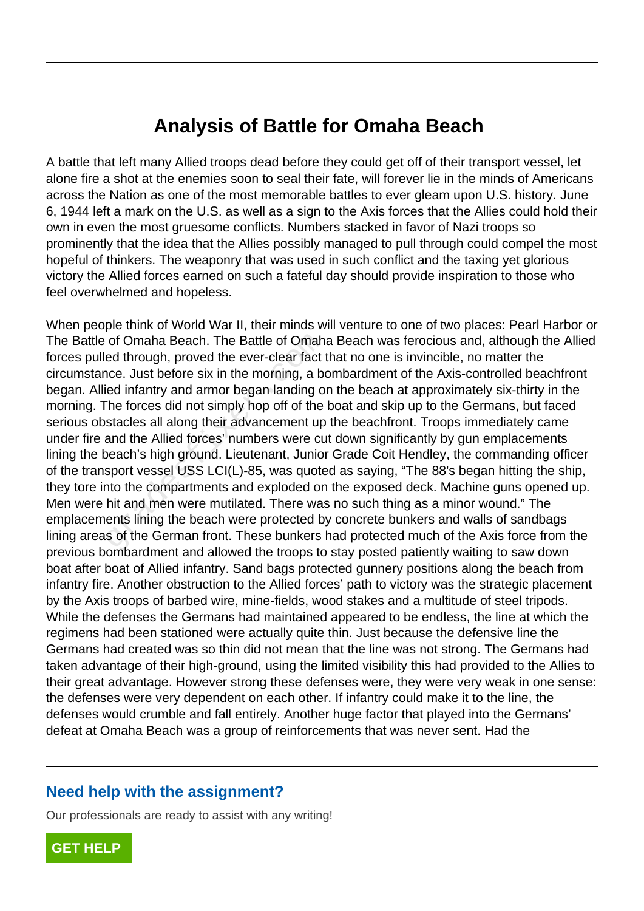## **Analysis of Battle for Omaha Beach**

A battle that left many Allied troops dead before they could get off of their transport vessel, let alone fire a shot at the enemies soon to seal their fate, will forever lie in the minds of Americans across the Nation as one of the most memorable battles to ever gleam upon U.S. history. June 6, 1944 left a mark on the U.S. as well as a sign to the Axis forces that the Allies could hold their own in even the most gruesome conflicts. Numbers stacked in favor of Nazi troops so prominently that the idea that the Allies possibly managed to pull through could compel the most hopeful of thinkers. The weaponry that was used in such conflict and the taxing yet glorious victory the Allied forces earned on such a fateful day should provide inspiration to those who feel overwhelmed and hopeless.

When people think of World War II, their minds will venture to one of two places: Pearl Harbor or The Battle of Omaha Beach. The Battle of Omaha Beach was ferocious and, although the Allied forces pulled through, proved the ever-clear fact that no one is invincible, no matter the circumstance. Just before six in the morning, a bombardment of the Axis-controlled beachfront began. Allied infantry and armor began landing on the beach at approximately six-thirty in the morning. The forces did not simply hop off of the boat and skip up to the Germans, but faced serious obstacles all along their advancement up the beachfront. Troops immediately came under fire and the Allied forces' numbers were cut down significantly by gun emplacements lining the beach's high ground. Lieutenant, Junior Grade Coit Hendley, the commanding officer of the transport vessel USS LCI(L)-85, was quoted as saying, "The 88's began hitting the ship, they tore into the compartments and exploded on the exposed deck. Machine guns opened up. Men were hit and men were mutilated. There was no such thing as a minor wound." The emplacements lining the beach were protected by concrete bunkers and walls of sandbags lining areas of the German front. These bunkers had protected much of the Axis force from the previous bombardment and allowed the troops to stay posted patiently waiting to saw down boat after boat of Allied infantry. Sand bags protected gunnery positions along the beach from infantry fire. Another obstruction to the Allied forces' path to victory was the strategic placement by the Axis troops of barbed wire, mine-fields, wood stakes and a multitude of steel tripods. While the defenses the Germans had maintained appeared to be endless, the line at which the regimens had been stationed were actually quite thin. Just because the defensive line the Germans had created was so thin did not mean that the line was not strong. The Germans had taken advantage of their high-ground, using the limited visibility this had provided to the Allies to their great advantage. However strong these defenses were, they were very weak in one sense: the defenses were very dependent on each other. If infantry could make it to the line, the defenses would crumble and fall entirely. Another huge factor that played into the Germans' defeat at Omaha Beach was a group of reinforcements that was never sent. Had the of Omaha Beach. The Battle of Omah<br>ed through, proved the ever-clear fact the<br>nee. Just before six in the morning, a be<br>led infantry and armor began landing of<br>The forces did not simply hop off of the<br>stacles all along the

## **Need help with the assignment?**

Our professionals are ready to assist with any writing!

**[GET HELP](https://my.gradesfixer.com/order?utm_campaign=pdf_sample)**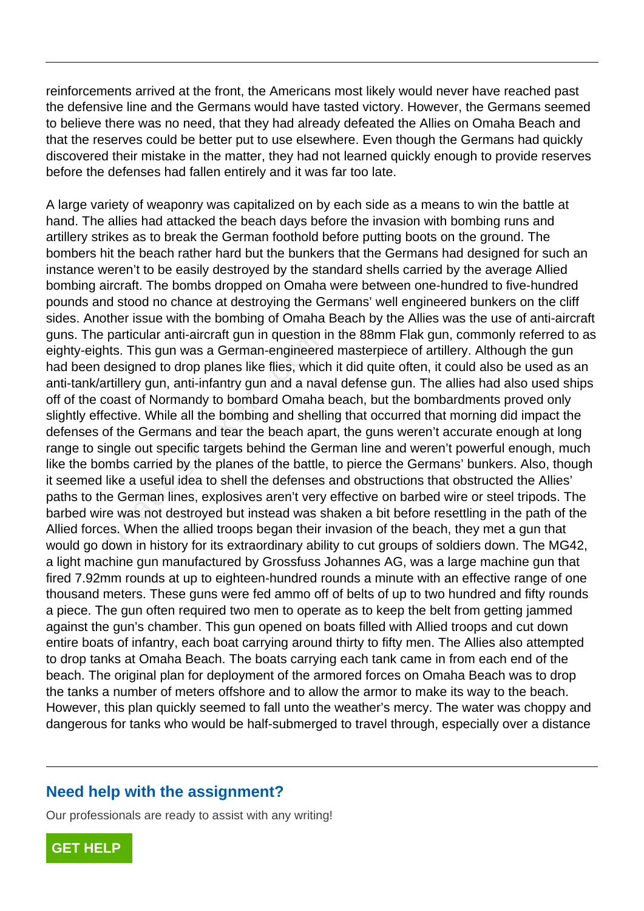reinforcements arrived at the front, the Americans most likely would never have reached past the defensive line and the Germans would have tasted victory. However, the Germans seemed to believe there was no need, that they had already defeated the Allies on Omaha Beach and that the reserves could be better put to use elsewhere. Even though the Germans had quickly discovered their mistake in the matter, they had not learned quickly enough to provide reserves before the defenses had fallen entirely and it was far too late.

A large variety of weaponry was capitalized on by each side as a means to win the battle at hand. The allies had attacked the beach days before the invasion with bombing runs and artillery strikes as to break the German foothold before putting boots on the ground. The bombers hit the beach rather hard but the bunkers that the Germans had designed for such an instance weren't to be easily destroyed by the standard shells carried by the average Allied bombing aircraft. The bombs dropped on Omaha were between one-hundred to five-hundred pounds and stood no chance at destroying the Germans' well engineered bunkers on the cliff sides. Another issue with the bombing of Omaha Beach by the Allies was the use of anti-aircraft guns. The particular anti-aircraft gun in question in the 88mm Flak gun, commonly referred to as eighty-eights. This gun was a German-engineered masterpiece of artillery. Although the gun had been designed to drop planes like flies, which it did quite often, it could also be used as an anti-tank/artillery gun, anti-infantry gun and a naval defense gun. The allies had also used ships off of the coast of Normandy to bombard Omaha beach, but the bombardments proved only slightly effective. While all the bombing and shelling that occurred that morning did impact the defenses of the Germans and tear the beach apart, the guns weren't accurate enough at long range to single out specific targets behind the German line and weren't powerful enough, much like the bombs carried by the planes of the battle, to pierce the Germans' bunkers. Also, though it seemed like a useful idea to shell the defenses and obstructions that obstructed the Allies' paths to the German lines, explosives aren't very effective on barbed wire or steel tripods. The barbed wire was not destroyed but instead was shaken a bit before resettling in the path of the Allied forces. When the allied troops began their invasion of the beach, they met a gun that would go down in history for its extraordinary ability to cut groups of soldiers down. The MG42, a light machine gun manufactured by Grossfuss Johannes AG, was a large machine gun that fired 7.92mm rounds at up to eighteen-hundred rounds a minute with an effective range of one thousand meters. These guns were fed ammo off of belts of up to two hundred and fifty rounds a piece. The gun often required two men to operate as to keep the belt from getting jammed against the gun's chamber. This gun opened on boats filled with Allied troops and cut down entire boats of infantry, each boat carrying around thirty to fifty men. The Allies also attempted to drop tanks at Omaha Beach. The boats carrying each tank came in from each end of the beach. The original plan for deployment of the armored forces on Omaha Beach was to drop the tanks a number of meters offshore and to allow the armor to make its way to the beach. However, this plan quickly seemed to fall unto the weather's mercy. The water was choppy and dangerous for tanks who would be half-submerged to travel through, especially over a distance particular anti-ancrait gun in question in<br>the S. This gun was a German-engineere<br>designed to drop planes like flies, which<br>rifillery gun, anti-infantry gun and a nav-<br>coast of Normandy to bombard Omaha<br>ective. While all t

## **Need help with the assignment?**

Our professionals are ready to assist with any writing!

**[GET HELP](https://my.gradesfixer.com/order?utm_campaign=pdf_sample)**